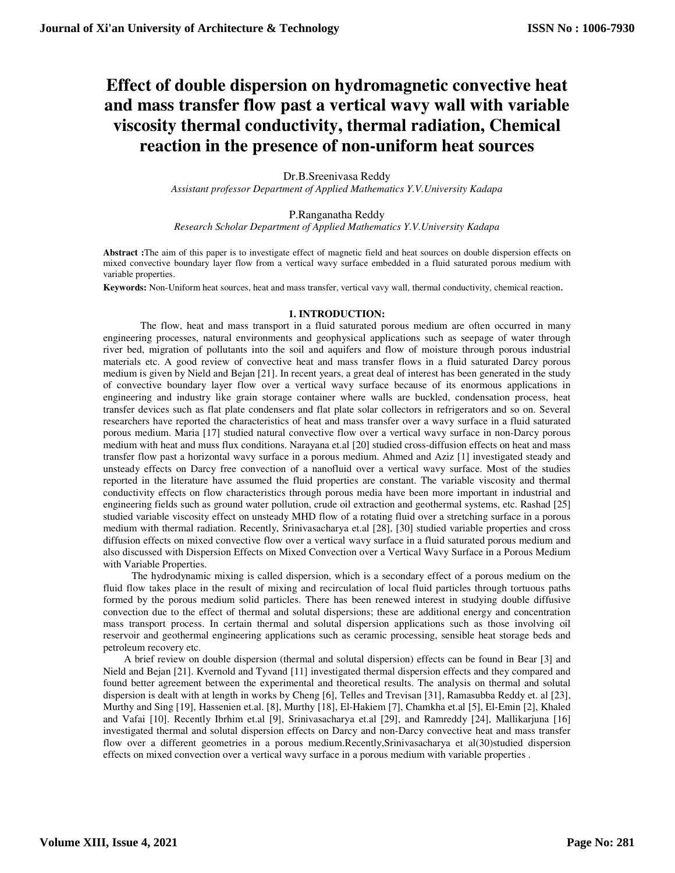# **Effect of double dispersion on hydromagnetic convective heat and mass transfer flow past a vertical wavy wall with variable viscosity thermal conductivity, thermal radiation, Chemical reaction in the presence of non-uniform heat sources**

Dr.B.Sreenivasa Reddy *Assistant professor Department of Applied Mathematics Y.V.University Kadapa*

P.Ranganatha Reddy

*Research Scholar Department of Applied Mathematics Y.V.University Kadapa* 

**Abstract :**The aim of this paper is to investigate effect of magnetic field and heat sources on double dispersion effects on mixed convective boundary layer flow from a vertical wavy surface embedded in a fluid saturated porous medium with variable properties.

**Keywords:** Non-Uniform heat sources, heat and mass transfer, vertical vavy wall, thermal conductivity, chemical reaction.

# **1. INTRODUCTION:**

The flow, heat and mass transport in a fluid saturated porous medium are often occurred in many engineering processes, natural environments and geophysical applications such as seepage of water through river bed, migration of pollutants into the soil and aquifers and flow of moisture through porous industrial materials etc. A good review of convective heat and mass transfer flows in a fluid saturated Darcy porous medium is given by Nield and Bejan [21]. In recent years, a great deal of interest has been generated in the study of convective boundary layer flow over a vertical wavy surface because of its enormous applications in engineering and industry like grain storage container where walls are buckled, condensation process, heat transfer devices such as flat plate condensers and flat plate solar collectors in refrigerators and so on. Several researchers have reported the characteristics of heat and mass transfer over a wavy surface in a fluid saturated porous medium. Maria [17] studied natural convective flow over a vertical wavy surface in non-Darcy porous medium with heat and muss flux conditions. Narayana et.al [20] studied cross-diffusion effects on heat and mass transfer flow past a horizontal wavy surface in a porous medium. Ahmed and Aziz [1] investigated steady and unsteady effects on Darcy free convection of a nanofluid over a vertical wavy surface. Most of the studies reported in the literature have assumed the fluid properties are constant. The variable viscosity and thermal conductivity effects on flow characteristics through porous media have been more important in industrial and engineering fields such as ground water pollution, crude oil extraction and geothermal systems, etc. Rashad [25] studied variable viscosity effect on unsteady MHD flow of a rotating fluid over a stretching surface in a porous medium with thermal radiation. Recently, Srinivasacharya et.al [28], [30] studied variable properties and cross diffusion effects on mixed convective flow over a vertical wavy surface in a fluid saturated porous medium and also discussed with Dispersion Effects on Mixed Convection over a Vertical Wavy Surface in a Porous Medium with Variable Properties.

 The hydrodynamic mixing is called dispersion, which is a secondary effect of a porous medium on the fluid flow takes place in the result of mixing and recirculation of local fluid particles through tortuous paths formed by the porous medium solid particles. There has been renewed interest in studying double diffusive convection due to the effect of thermal and solutal dispersions; these are additional energy and concentration mass transport process. In certain thermal and solutal dispersion applications such as those involving oil reservoir and geothermal engineering applications such as ceramic processing, sensible heat storage beds and petroleum recovery etc.

 A brief review on double dispersion (thermal and solutal dispersion) effects can be found in Bear [3] and Nield and Bejan [21]. Kvernold and Tyvand [11] investigated thermal dispersion effects and they compared and found better agreement between the experimental and theoretical results. The analysis on thermal and solutal dispersion is dealt with at length in works by Cheng [6], Telles and Trevisan [31], Ramasubba Reddy et. al [23], Murthy and Sing [19], Hassenien et.al. [8], Murthy [18], El-Hakiem [7], Chamkha et.al [5], El-Emin [2], Khaled and Vafai [10]. Recently Ibrhim et.al [9], Srinivasacharya et.al [29], and Ramreddy [24], Mallikarjuna [16] investigated thermal and solutal dispersion effects on Darcy and non-Darcy convective heat and mass transfer flow over a different geometries in a porous medium.Recently,Srinivasacharya et al(30)studied dispersion effects on mixed convection over a vertical wavy surface in a porous medium with variable properties .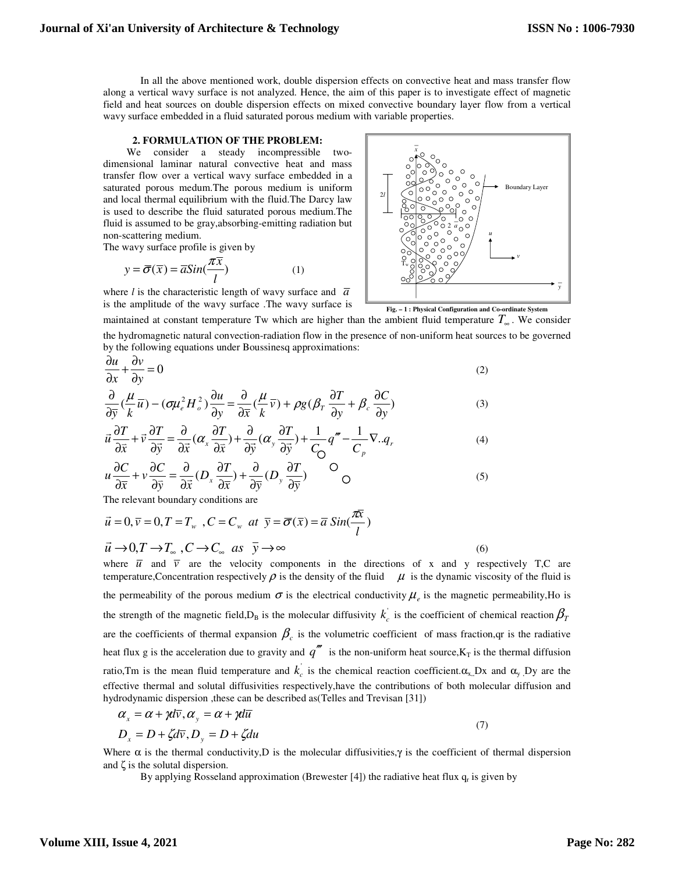Boundary Layer

 In all the above mentioned work, double dispersion effects on convective heat and mass transfer flow along a vertical wavy surface is not analyzed. Hence, the aim of this paper is to investigate effect of magnetic field and heat sources on double dispersion effects on mixed convective boundary layer flow from a vertical wavy surface embedded in a fluid saturated porous medium with variable properties.

**1** *x* 

**1** 2<sup>0</sup>*a* 2*a* 2*a* 2*a* **u** 2000,000 ° 0 *µ* 

2*l*

 $\begin{array}{ccc} \n & \mathbf{T_w} \n\end{array}$ 

#### **2. FORMULATION OF THE PROBLEM:**

 We consider a steady incompressible twodimensional laminar natural convective heat and mass transfer flow over a vertical wavy surface embedded in a saturated porous medum.The porous medium is uniform and local thermal equilibrium with the fluid.The Darcy law is used to describe the fluid saturated porous medium.The fluid is assumed to be gray,absorbing-emitting radiation but non-scattering medium.

The wavy surface profile is given by

$$
y = \overline{\sigma}(\overline{x}) = \overline{a}Sin(\frac{\pi \overline{x}}{l})
$$
 (1)

where *l* is the characteristic length of wavy surface and  $\overline{a}$ is the amplitude of the wavy surface .The wavy surface is



*v* 

maintained at constant temperature Tw which are higher than the ambient fluid temperature  $T_{\infty}$ . We consider

the hydromagnetic natural convection-radiation flow in the presence of non-uniform heat sources to be governed by the following equations under Boussinesq approximations:

$$
\frac{\partial u}{\partial x} + \frac{\partial v}{\partial y} = 0
$$
 (2)

$$
\frac{\partial}{\partial \bar{y}} \left( \frac{\mu}{k} \overline{u} \right) - \left( \sigma \mu_e^2 H_o^2 \right) \frac{\partial u}{\partial y} = \frac{\partial}{\partial \overline{x}} \left( \frac{\mu}{k} \overline{v} \right) + \rho g \left( \beta_T \frac{\partial T}{\partial y} + \beta_c \frac{\partial C}{\partial y} \right) \tag{3}
$$

$$
\vec{u}\frac{\partial T}{\partial \vec{x}} + \vec{v}\frac{\partial T}{\partial \vec{y}} = \frac{\partial}{\partial \vec{x}}(\alpha_x \frac{\partial T}{\partial \vec{x}}) + \frac{\partial}{\partial \vec{y}}(\alpha_y \frac{\partial T}{\partial \vec{y}}) + \frac{1}{C_0}q''' - \frac{1}{C_p}\nabla . q_r
$$
\n(4)

$$
u\frac{\partial C}{\partial \overline{x}} + v\frac{\partial C}{\partial \overline{y}} = \frac{\partial}{\partial \overline{x}}(D_x \frac{\partial T}{\partial \overline{x}}) + \frac{\partial}{\partial \overline{y}}(D_y \frac{\partial T}{\partial \overline{y}})
$$
 O (5)

The relevant boundary conditions are

$$
\vec{u} = 0, \vec{v} = 0, T = T_w, C = C_w \text{ at } \vec{y} = \overline{\sigma}(\overline{x}) = \overline{a} \sin(\frac{\pi \overline{x}}{l})
$$
  

$$
\vec{u} \rightarrow 0, T \rightarrow T_w, C \rightarrow C_w \text{ as } \overline{y} \rightarrow \infty
$$
 (6)

where  $\overline{u}$  and  $\overline{v}$  are the velocity components in the directions of x and y respectively T,C are temperature, Concentration respectively  $\rho$  is the density of the fluid  $\mu$  is the dynamic viscosity of the fluid is the permeability of the porous medium  $\sigma$  is the electrical conductivity  $\mu_e$  is the magnetic permeability, Ho is the strength of the magnetic field,  $D_B$  is the molecular diffusivity  $k_c$  is the coefficient of chemical reaction  $\beta_T$ are the coefficients of thermal expansion  $\beta_c$  is the volumetric coefficient of mass fraction, qr is the radiative heat flux g is the acceleration due to gravity and  $q''$  is the non-uniform heat source,  $K_T$  is the thermal diffusion ratio,Tm is the mean fluid temperature and  $k_c$  is the chemical reaction coefficient. $\alpha_{x}$ ,Dx and  $\alpha_{y}$ ,Dy are the effective thermal and solutal diffusivities respectively,have the contributions of both molecular diffusion and hydrodynamic dispersion ,these can be described as(Telles and Trevisan [31])

$$
\alpha_x = \alpha + \gamma d\overline{v}, \alpha_y = \alpha + \gamma d\overline{u}
$$
\n(7)

$$
D_x = D + \zeta d\overline{v}, D_y = D + \zeta du
$$

Where  $\alpha$  is the thermal conductivity, D is the molecular diffusivities,  $\gamma$  is the coefficient of thermal dispersion and ζ is the solutal dispersion.

By applying Rosseland approximation (Brewester [4]) the radiative heat flux  $q_r$  is given by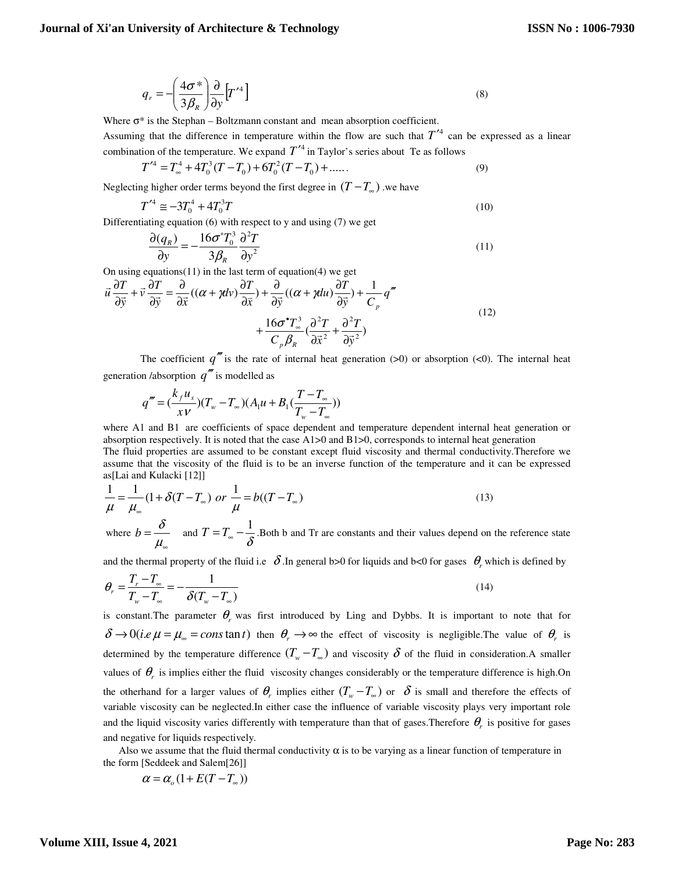$$
q_r = -\left(\frac{4\sigma^*}{3\beta_R}\right)\frac{\partial}{\partial y}\left[T'^4\right]
$$
\n(8)

Where  $\sigma^*$  is the Stephan – Boltzmann constant and mean absorption coefficient.

Assuming that the difference in temperature within the flow are such that  $T^{\prime 4}$  can be expressed as a linear combination of the temperature. We expand  $T'$  in Taylor's series about Te as follows

$$
T'^4 = T_\infty^4 + 4T_0^3(T - T_0) + 6T_0^2(T - T_0) + \dots
$$
\n(9)

Neglecting higher order terms beyond the first degree in  $(T - T_{\infty})$  we have

$$
T'^4 \cong -3T_0^4 + 4T_0^3T \tag{10}
$$

Differentiating equation (6) with respect to y and using (7) we get

$$
\frac{\partial(q_R)}{\partial y} = -\frac{16\sigma^* T_0^3}{3\beta_R} \frac{\partial^2 T}{\partial y^2}
$$
\n(11)

On using equations $(11)$  in the last term of equation $(4)$  we get

$$
\vec{u}\frac{\partial T}{\partial \vec{y}} + \vec{v}\frac{\partial T}{\partial \vec{y}} = \frac{\partial}{\partial \vec{x}}\left((\alpha + \gamma dv)\frac{\partial T}{\partial \vec{x}}\right) + \frac{\partial}{\partial \vec{y}}\left((\alpha + \gamma du)\frac{\partial T}{\partial \vec{y}}\right) + \frac{1}{C_p}q''
$$
\n
$$
+ \frac{16\sigma^{\bullet}T_{\infty}^3}{C_p\beta_R}\left(\frac{\partial^2 T}{\partial \vec{x}^2} + \frac{\partial^2 T}{\partial \vec{y}^2}\right)
$$
\n(12)

The coefficient  $q''$  is the rate of internal heat generation (>0) or absorption (<0). The internal heat generation /absorption  $q''$  is modelled as

$$
q''' = (\frac{k_f u_s}{xv})(T_w - T_\infty)(A_1 u + B_1(\frac{T - T_\infty}{T_w - T_\infty}))
$$

where A1 and B1 are coefficients of space dependent and temperature dependent internal heat generation or absorption respectively. It is noted that the case A1>0 and B1>0, corresponds to internal heat generation The fluid properties are assumed to be constant except fluid viscosity and thermal conductivity.Therefore we assume that the viscosity of the fluid is to be an inverse function of the temperature and it can be expressed as[Lai and Kulacki [12]]

$$
\frac{1}{\mu} = \frac{1}{\mu_{\infty}} (1 + \delta(T - T_{\infty}) \text{ or } \frac{1}{\mu} = b((T - T_{\infty})
$$
\n(13)

where  $b = \frac{\delta}{\delta}$  $\mu_{\scriptscriptstyle \infty}$  $=\frac{\delta}{\mu}$  and  $T=T_{\infty}-\frac{1}{\delta}$ . Both b and Tr are constants and their values depend on the reference state

and the thermal property of the fluid i.e  $\delta$ . In general b>0 for liquids and b<0 for gases  $\theta_r$  which is defined by

$$
\theta_r = \frac{T_r - T_\infty}{T_w - T_\infty} = -\frac{1}{\delta(T_w - T_\infty)}
$$
\n(14)

is constant. The parameter  $\theta_r$  was first introduced by Ling and Dybbs. It is important to note that for  $\delta \rightarrow 0 (i.e., \mu = \mu_{\infty} = constan t)$  then  $\theta_r \rightarrow \infty$  the effect of viscosity is negligible. The value of  $\theta_r$  is determined by the temperature difference  $(T_w - T_w)$  and viscosity  $\delta$  of the fluid in consideration.A smaller values of  $\theta_r$  is implies either the fluid viscosity changes considerably or the temperature difference is high.On the otherhand for a larger values of  $\theta_r$  implies either  $(T_w - T_w)$  or  $\delta$  is small and therefore the effects of variable viscosity can be neglected.In either case the influence of variable viscosity plays very important role and the liquid viscosity varies differently with temperature than that of gases. Therefore  $\theta_r$  is positive for gases and negative for liquids respectively.

Also we assume that the fluid thermal conductivity  $\alpha$  is to be varying as a linear function of temperature in the form [Seddeek and Salem[26]]

$$
\alpha = \alpha_{_o}(1 + E(T - T_{_\infty}))
$$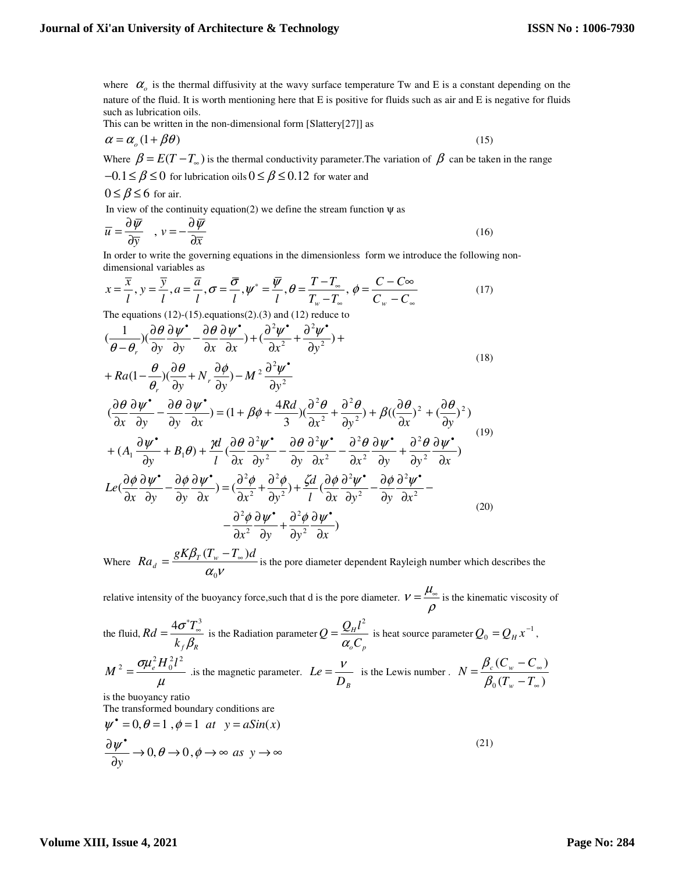where  $\alpha$ <sub>o</sub> is the thermal diffusivity at the wavy surface temperature Tw and E is a constant depending on the nature of the fluid. It is worth mentioning here that E is positive for fluids such as air and E is negative for fluids such as lubrication oils.

This can be written in the non-dimensional form [Slattery[27]] as

$$
\alpha = \alpha_o (1 + \beta \theta)
$$
 (15)  
Where  $\beta = E(T - T_{\infty})$  is the thermal conductivity parameter.  
The variation of  $\beta$  can be taken in the range

$$
-0.1 \le \beta \le 0
$$
 for lubrication oils  $0 \le \beta \le 0.12$  for water and

$$
0 \leq \beta \leq 6
$$
 for air.

In view of the continuity equation(2) we define the stream function  $\psi$  as

$$
\overline{u} = \frac{\partial \overline{\psi}}{\partial \overline{y}} \quad , \ v = -\frac{\partial \overline{\psi}}{\partial \overline{x}} \tag{16}
$$

In order to write the governing equations in the dimensionless form we introduce the following nondimensional variables as

$$
x = \frac{\overline{x}}{l}, y = \frac{\overline{y}}{l}, a = \frac{\overline{a}}{l}, \sigma = \frac{\overline{\sigma}}{l}, \psi^* = \frac{\overline{\psi}}{l}, \theta = \frac{T - T_{\infty}}{T_{w} - T_{\infty}}, \phi = \frac{C - C_{\infty}}{C_{w} - C_{\infty}}
$$
(17)

The equations  $(12)-(15)$ . equations $(2).(3)$  and  $(12)$  reduce to

$$
(\frac{1}{\theta - \theta_r})(\frac{\partial \theta}{\partial y}\frac{\partial \psi^*}{\partial y} - \frac{\partial \theta}{\partial x}\frac{\partial \psi^*}{\partial x}) + (\frac{\partial^2 \psi^*}{\partial x^2} + \frac{\partial^2 \psi^*}{\partial y^2}) +
$$
  
+  $Ra(1 - \frac{\theta}{\theta_r})(\frac{\partial \theta}{\partial y} + N_r \frac{\partial \phi}{\partial y}) - M^2 \frac{\partial^2 \psi^*}{\partial y^2}$  (18)

$$
(\frac{\partial \theta}{\partial x} \frac{\partial \psi^*}{\partial y} - \frac{\partial \theta}{\partial y} \frac{\partial \psi^*}{\partial x}) = (1 + \beta \phi + \frac{4Rd}{3})(\frac{\partial^2 \theta}{\partial x^2} + \frac{\partial^2 \theta}{\partial y^2}) + \beta((\frac{\partial \theta}{\partial x})^2 + (\frac{\partial \theta}{\partial y})^2)
$$
  
+  $(A_1 \frac{\partial \psi^*}{\partial y} + B_1 \theta) + \frac{\gamma d}{l}(\frac{\partial \theta}{\partial x} \frac{\partial^2 \psi^*}{\partial y^2} - \frac{\partial \theta}{\partial y} \frac{\partial^2 \psi^*}{\partial x^2} - \frac{\partial^2 \theta}{\partial x^2} \frac{\partial \psi^*}{\partial y} + \frac{\partial^2 \theta}{\partial y^2} \frac{\partial \psi^*}{\partial x})$   
 $Le(\frac{\partial \phi}{\partial x} \frac{\partial \psi^*}{\partial y} - \frac{\partial \phi}{\partial y} \frac{\partial \psi^*}{\partial x}) = (\frac{\partial^2 \phi}{\partial x^2} + \frac{\partial^2 \phi}{\partial y^2}) + \frac{\zeta d}{l}(\frac{\partial \phi}{\partial x} \frac{\partial^2 \psi^*}{\partial y^2} - \frac{\partial \phi}{\partial y} \frac{\partial^2 \psi^*}{\partial x^2}) - \frac{\partial^2 \phi}{\partial x^2} \frac{\partial \psi^*}{\partial y} + \frac{\partial^2 \phi}{\partial y^2} \frac{\partial \psi^*}{\partial x})$  (20)

Where  $Ra_d = \frac{Q \cdot \mu_{\text{w}}}{\alpha_0 V}$ β  $\boldsymbol{0}$  $Ra_d = \frac{gK\beta_T (T_w - T_\infty)d}{gK\beta_T}$  is the pore diameter dependent Rayleigh number which describes the

relative intensity of the buoyancy force, such that d is the pore diameter.  $v = \frac{\mu_s}{\sigma_s}$ ρ  $=\frac{\mu_{\infty}}{n}$  is the kinematic viscosity of

the fluid, 
$$
Rd = \frac{4\sigma^* T_\infty^3}{k_f \beta_R}
$$
 is the Radiation parameter  $Q = \frac{Q_H l^2}{\alpha_o C_p}$  is heat source parameter  $Q_0 = Q_H x^{-1}$ ,  
\n
$$
M^2 = \frac{\sigma \mu_e^2 H_0^2 l^2}{\mu}
$$
 is the magnetic parameter.  $Le = \frac{V}{D_B}$  is the Lewis number.  $N = \frac{\beta_c (C_w - C_\infty)}{\beta_0 (T_w - T_\infty)}$  is the buoyancy ratio.

is the buoyancy ratio

The transformed boundary conditions are

$$
\begin{aligned}\n\psi^* &= 0, \theta = 1, \phi = 1 \text{ at } y = a\text{Sin}(x) \\
\frac{\partial \psi^*}{\partial y} &\to 0, \theta \to 0, \phi \to \infty \text{ as } y \to \infty\n\end{aligned} \tag{21}
$$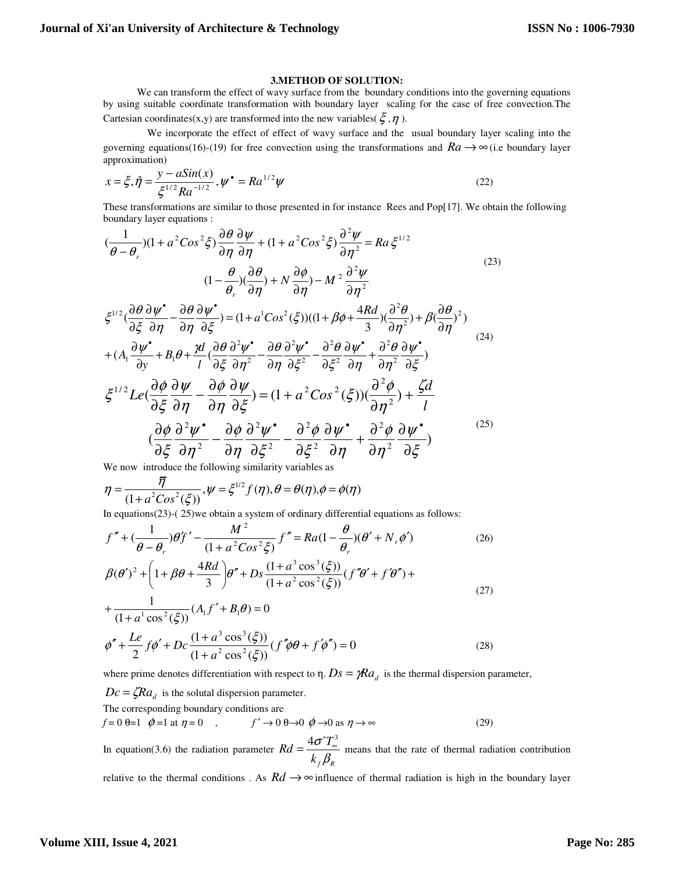#### **3.METHOD OF SOLUTION:**

We can transform the effect of wavy surface from the boundary conditions into the governing equations by using suitable coordinate transformation with boundary layer scaling for the case of free convection.The Cartesian coordinates(x,y) are transformed into the new variables( $\xi$ , $\eta$ ).

 We incorporate the effect of effect of wavy surface and the usual boundary layer scaling into the governing equations(16)-(19) for free convection using the transformations and  $Ra \rightarrow \infty$  (i.e boundary layer approximation)

$$
x = \xi, \hat{\eta} = \frac{y - a\sin(x)}{\xi^{1/2} Ra^{-1/2}}, \psi^* = Ra^{1/2}\psi
$$
 (22)

These transformations are similar to those presented in for instance Rees and Pop[17]. We obtain the following boundary layer equations :

$$
\frac{(1}{\theta - \theta_r})(1 + a^2Cos^2\xi)\frac{\partial\theta}{\partial\eta}\frac{\partial\psi}{\partial\eta} + (1 + a^2Cos^2\xi)\frac{\partial^2\psi}{\partial\eta^2} = Ra\xi^{1/2}
$$
\n
$$
(1 - \frac{\theta}{\theta_r})(\frac{\partial\theta}{\partial\eta}) + N\frac{\partial\phi}{\partial\eta} - M^2\frac{\partial^2\psi}{\partial\eta^2}
$$
\n
$$
\xi^{1/2}(\frac{\partial\theta}{\partial\xi}\frac{\partial\psi^{\bullet}}{\partial\eta} - \frac{\partial\theta}{\partial\eta}\frac{\partial\psi^{\bullet}}{\partial\xi}) = (1 + a^1Cos^2(\xi))((1 + \beta\phi + \frac{4Rd}{3})(\frac{\partial^2\theta}{\partial\eta^2}) + \beta(\frac{\partial\theta}{\partial\eta})^2)
$$
\n
$$
+ (A_1\frac{\partial\psi^{\bullet}}{\partial y} + B_1\theta + \frac{\gamma d}{l}(\frac{\partial\theta}{\partial\xi}\frac{\partial^2\psi^{\bullet}}{\partial\eta^2} - \frac{\partial\theta}{\partial\eta}\frac{\partial^2\psi^{\bullet}}{\partial\xi^2} - \frac{\partial^2\theta}{\partial\xi^2}\frac{\partial\psi^{\bullet}}{\partial\eta} + \frac{\partial^2\theta}{\partial\eta^2}\frac{\partial\psi^{\bullet}}{\partial\xi})
$$
\n
$$
\xi^{1/2}Le(\frac{\partial\phi}{\partial\xi}\frac{\partial\psi}{\partial\eta} - \frac{\partial\phi}{\partial\eta}\frac{\partial\psi}{\partial\xi}) = (1 + a^2Cos^2(\xi))(\frac{\partial^2\phi}{\partial\eta^2}) + \frac{\zeta d}{l}
$$
\n
$$
(\frac{\partial\phi}{\partial\xi}\frac{\partial^2\psi^{\bullet}}{\partial\eta^2} - \frac{\partial\phi}{\partial\eta}\frac{\partial^2\psi^{\bullet}}{\partial\xi^2} - \frac{\partial^2\phi}{\partial\xi^2}\frac{\partial\psi^{\bullet}}{\partial\eta} + \frac{\partial^2\phi}{\partial\eta^2}\frac{\partial\psi^{\bullet}}{\partial\xi})
$$
\n(25)

We now introduce the following similarity variables as

$$
\eta = \frac{\overline{\eta}}{(1 + a^2 \cos^2(\xi))}, \psi = \xi^{1/2} f(\eta), \theta = \theta(\eta), \phi = \phi(\eta)
$$

In equations(23)-( 25)we obtain a system of ordinary differential equations as follows:

$$
f'' + (\frac{1}{\theta - \theta_r})\theta f' - \frac{M^2}{(1 + a^2 \cos^2 \xi)} f'' = Ra(1 - \frac{\theta}{\theta_r})(\theta' + N_r \phi')
$$
(26)  

$$
\beta(\theta')^2 + \left(1 + \beta\theta + \frac{4Rd}{3}\right)\theta'' + Ds \frac{(1 + a^3 \cos^3(\xi))}{(1 + a^2 \cos^2(\xi))} (f''\theta' + f'\theta'') +
$$
  

$$
+ \frac{1}{(1 + a^1 \cos^2(\xi))}(A_1 f' + B_1 \theta) = 0
$$
(27)

$$
\phi'' + \frac{Le}{2} f \phi' + Dc \frac{(1 + a^3 \cos^3(\xi))}{(1 + a^2 \cos^2(\xi))} (f'' \phi \theta + f' \phi'') = 0
$$
\n(28)

where prime denotes differentiation with respect to  $\eta$ .  $Ds = \gamma Ra_d$  is the thermal dispersion parameter,

 $Dc = \zeta R a_d$  is the solutal dispersion parameter.

The corresponding boundary conditions are

$$
f = 0 \quad \theta = 1 \quad \phi = 1 \quad \text{at} \quad \eta = 0 \quad , \qquad f' \to 0 \quad \theta \to 0 \quad \phi \to 0 \quad \text{as} \quad \eta \to \infty \tag{29}
$$

In equation(3.6) the radiation parameter *f R*  $Rd = \frac{4\sigma^*T_s}{r^2}$ *k* σ  $\beta_i$  $=\frac{4\sigma^*T^3}{r^2}$  means that the rate of thermal radiation contribution

relative to the thermal conditions . As  $Rd \rightarrow \infty$  influence of thermal radiation is high in the boundary layer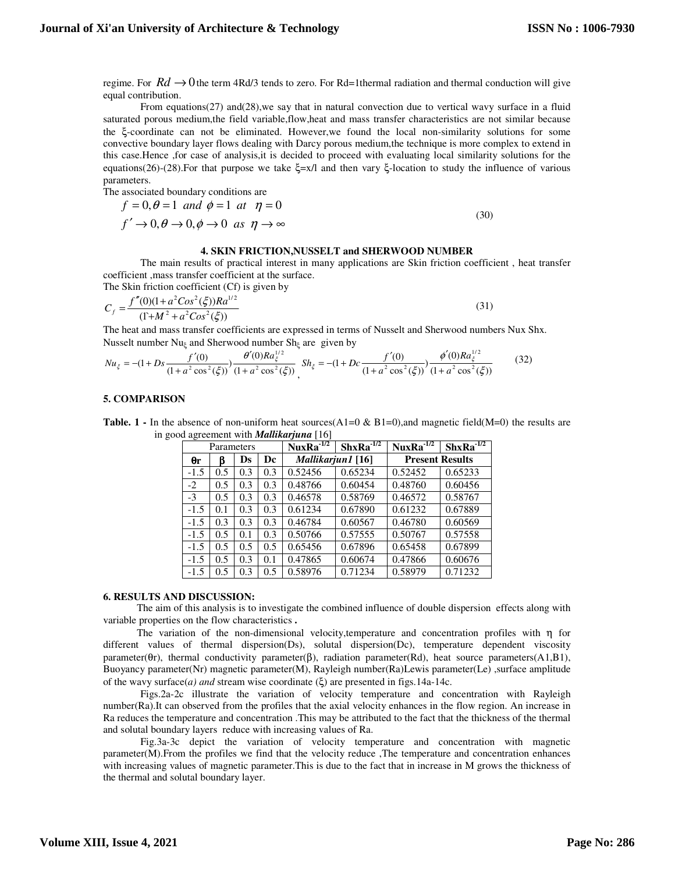regime. For  $Rd \rightarrow 0$  the term 4Rd/3 tends to zero. For Rd=1thermal radiation and thermal conduction will give equal contribution.

From equations(27) and(28),we say that in natural convection due to vertical wavy surface in a fluid saturated porous medium,the field variable,flow,heat and mass transfer characteristics are not similar because the ξ-coordinate can not be eliminated. However,we found the local non-similarity solutions for some convective boundary layer flows dealing with Darcy porous medium,the technique is more complex to extend in this case.Hence ,for case of analysis,it is decided to proceed with evaluating local similarity solutions for the equations(26)-(28).For that purpose we take ξ=x/l and then vary ξ-location to study the influence of various parameters.

The associated boundary conditions are

$$
f = 0, \theta = 1 \text{ and } \phi = 1 \text{ at } \eta = 0
$$
  

$$
f' \to 0, \theta \to 0, \phi \to 0 \text{ as } \eta \to \infty
$$
 (30)

#### **4. SKIN FRICTION,NUSSELT and SHERWOOD NUMBER**

 The main results of practical interest in many applications are Skin friction coefficient , heat transfer coefficient ,mass transfer coefficient at the surface. The Skin friction coefficient (Cf) is given by

$$
C_f = \frac{f''(0)(1 + a^2 \cos^2(\xi))Ra^{1/2}}{(1 + M^2 + a^2 \cos^2(\xi))}
$$
(31)

The heat and mass transfer coefficients are expressed in terms of Nusselt and Sherwood numbers Nux Shx. Nusselt number Nu<sub>ℓ</sub> and Sherwood number Sh<sub>ℓ</sub> are given by

$$
Nu_{\xi} = -(1 + Ds \frac{f'(0)}{(1 + a^2 \cos^2(\xi))}) \frac{\theta'(0)Ra_{\xi}^{1/2}}{(1 + a^2 \cos^2(\xi))} \text{, } Sh_{\xi} = -(1 + Dc \frac{f'(0)}{(1 + a^2 \cos^2(\xi))}) \frac{\phi'(0)Ra_{\xi}^{1/2}}{(1 + a^2 \cos^2(\xi))} \tag{32}
$$

# **5. COMPARISON**

**Table. 1 -** In the absence of non-uniform heat sources(A1=0  $\&$  B1=0), and magnetic field(M=0) the results are in good agreement with *Mallikarjuna* [16]

|        | Parameters |     |               | $NuxRa^{-1/2}$    | $ShxRa^{-1/2}$ | $NuxRa^{-1/2}$         | $ShxRa^{-1/2}$ |  |
|--------|------------|-----|---------------|-------------------|----------------|------------------------|----------------|--|
| θr     | ß          | Ds  | Dc            | Mallikarjun1 [16] |                | <b>Present Results</b> |                |  |
| $-1.5$ | 0.5        | 0.3 | 0.3           | 0.52456           | 0.65234        | 0.52452                | 0.65233        |  |
| $-2$   | 0.5        | 0.3 | 0.3           | 0.48766           | 0.60454        | 0.48760                | 0.60456        |  |
| $-3$   | 0.5        | 0.3 | 0.3           | 0.46578           | 0.58769        | 0.46572                | 0.58767        |  |
| $-1.5$ | 0.1        | 0.3 | 0.3           | 0.61234           | 0.67890        | 0.61232                | 0.67889        |  |
| $-1.5$ | 0.3        | 0.3 | 0.3           | 0.46784           | 0.60567        | 0.46780                | 0.60569        |  |
| $-1.5$ | 0.5        | 0.1 | 0.3           | 0.50766           | 0.57555        | 0.50767                | 0.57558        |  |
| $-1.5$ | 0.5        | 0.5 | 0.5           | 0.65456           | 0.67896        | 0.65458                | 0.67899        |  |
| $-1.5$ | 0.5        | 0.3 | 0.1           | 0.47865           | 0.60674        | 0.47866                | 0.60676        |  |
| $-1.5$ | 0.5        | 0.3 | $0.5^{\circ}$ | 0.58976           | 0.71234        | 0.58979                | 0.71232        |  |

#### **6. RESULTS AND DISCUSSION:**

 The aim of this analysis is to investigate the combined influence of double dispersion effects along with variable properties on the flow characteristics **.** 

 The variation of the non-dimensional velocity,temperature and concentration profiles with η for different values of thermal dispersion(Ds), solutal dispersion(Dc), temperature dependent viscosity parameter( $\theta$ r), thermal conductivity parameter( $\beta$ ), radiation parameter( $\text{Rd}$ ), heat source parameters( $\text{A1,B1}$ ), Buoyancy parameter(Nr) magnetic parameter(M), Rayleigh number(Ra)Lewis parameter(Le) ,surface amplitude of the wavy surface(*a) and* stream wise coordinate (ξ) are presented in figs.14a-14c.

Figs.2a-2c illustrate the variation of velocity temperature and concentration with Rayleigh number(Ra).It can observed from the profiles that the axial velocity enhances in the flow region. An increase in Ra reduces the temperature and concentration .This may be attributed to the fact that the thickness of the thermal and solutal boundary layers reduce with increasing values of Ra.

Fig.3a-3c depict the variation of velocity temperature and concentration with magnetic parameter(M).From the profiles we find that the velocity reduce ,The temperature and concentration enhances with increasing values of magnetic parameter. This is due to the fact that in increase in M grows the thickness of the thermal and solutal boundary layer.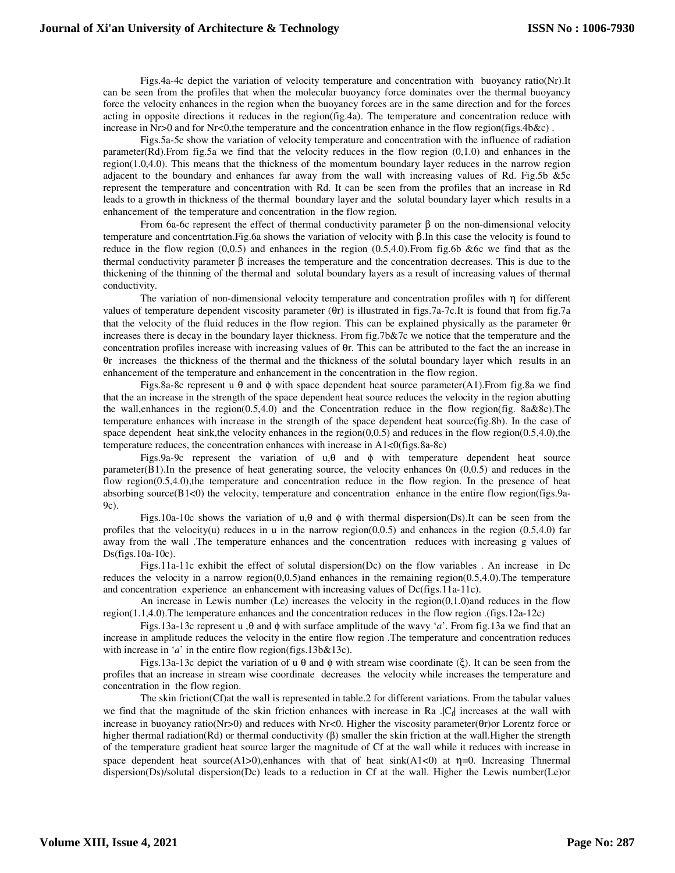Figs.4a-4c depict the variation of velocity temperature and concentration with buoyancy ratio(Nr).It can be seen from the profiles that when the molecular buoyancy force dominates over the thermal buoyancy force the velocity enhances in the region when the buoyancy forces are in the same direction and for the forces acting in opposite directions it reduces in the region(fig.4a). The temperature and concentration reduce with increase in Nr>0 and for Nr<0,the temperature and the concentration enhance in the flow region(figs.4b&c).

Figs.5a-5c show the variation of velocity temperature and concentration with the influence of radiation parameter(Rd).From fig.5a we find that the velocity reduces in the flow region (0,1.0) and enhances in the region(1.0,4.0). This means that the thickness of the momentum boundary layer reduces in the narrow region adjacent to the boundary and enhances far away from the wall with increasing values of Rd. Fig.5b &5c represent the temperature and concentration with Rd. It can be seen from the profiles that an increase in Rd leads to a growth in thickness of the thermal boundary layer and the solutal boundary layer which results in a enhancement of the temperature and concentration in the flow region.

From 6a-6c represent the effect of thermal conductivity parameter β on the non-dimensional velocity temperature and concentrtation.Fig.6a shows the variation of velocity with β.In this case the velocity is found to reduce in the flow region (0,0.5) and enhances in the region (0.5,4.0).From fig.6b &6c we find that as the thermal conductivity parameter  $\beta$  increases the temperature and the concentration decreases. This is due to the thickening of the thinning of the thermal and solutal boundary layers as a result of increasing values of thermal conductivity.

The variation of non-dimensional velocity temperature and concentration profiles with η for different values of temperature dependent viscosity parameter (θr) is illustrated in figs.7a-7c.It is found that from fig.7a that the velocity of the fluid reduces in the flow region. This can be explained physically as the parameter θr increases there is decay in the boundary layer thickness. From fig.7b&7c we notice that the temperature and the concentration profiles increase with increasing values of θr. This can be attributed to the fact the an increase in θr increases the thickness of the thermal and the thickness of the solutal boundary layer which results in an enhancement of the temperature and enhancement in the concentration in the flow region.

Figs.8a-8c represent u  $\theta$  and  $\phi$  with space dependent heat source parameter(A1). From fig.8a we find that the an increase in the strength of the space dependent heat source reduces the velocity in the region abutting the wall,enhances in the region(0.5,4.0) and the Concentration reduce in the flow region(fig. 8a&8c).The temperature enhances with increase in the strength of the space dependent heat source(fig.8b). In the case of space dependent heat sink, the velocity enhances in the region( $0,0.5$ ) and reduces in the flow region( $0.5,4.0$ ), the temperature reduces, the concentration enhances with increase in A1<0(figs.8a-8c)

Figs.9a-9c represent the variation of  $u, \theta$  and  $\phi$  with temperature dependent heat source parameter(B1).In the presence of heat generating source, the velocity enhances 0n (0,0.5) and reduces in the flow region(0.5,4.0),the temperature and concentration reduce in the flow region. In the presence of heat absorbing source $(B1<0)$  the velocity, temperature and concentration enhance in the entire flow region(figs.9a-9c).

Figs.10a-10c shows the variation of u, $\theta$  and  $\phi$  with thermal dispersion(Ds).It can be seen from the profiles that the velocity(u) reduces in u in the narrow region( $0,0.5$ ) and enhances in the region  $(0.5,4.0)$  far away from the wall .The temperature enhances and the concentration reduces with increasing g values of Ds(figs.10a-10c).

Figs.11a-11c exhibit the effect of solutal dispersion(Dc) on the flow variables . An increase in Dc reduces the velocity in a narrow region(0,0.5)and enhances in the remaining region(0.5,4.0).The temperature and concentration experience an enhancement with increasing values of Dc(figs.11a-11c).

An increase in Lewis number (Le) increases the velocity in the region $(0,1.0)$ and reduces in the flow region(1.1,4.0).The temperature enhances and the concentration reduces in the flow region .(figs.12a-12c)

Figs.13a-13c represent u ,θ and φ with surface amplitude of the wavy '*a*'. From fig.13a we find that an increase in amplitude reduces the velocity in the entire flow region .The temperature and concentration reduces with increase in '*a*' in the entire flow region(figs.13b&13c).

Figs.13a-13c depict the variation of u θ and φ with stream wise coordinate (ξ). It can be seen from the profiles that an increase in stream wise coordinate decreases the velocity while increases the temperature and concentration in the flow region.

The skin friction(Cf)at the wall is represented in table.2 for different variations. From the tabular values we find that the magnitude of the skin friction enhances with increase in Ra . |C<sub>f</sub>| increases at the wall with increase in buoyancy ratio(Nr>0) and reduces with Nr<0. Higher the viscosity parameter(θr)or Lorentz force or higher thermal radiation(Rd) or thermal conductivity  $(\beta)$  smaller the skin friction at the wall. Higher the strength of the temperature gradient heat source larger the magnitude of Cf at the wall while it reduces with increase in space dependent heat source(A1>0),enhances with that of heat  $sink(A1<0)$  at  $\eta=0$ . Increasing Thnermal dispersion(Ds)/solutal dispersion(Dc) leads to a reduction in Cf at the wall. Higher the Lewis number(Le)or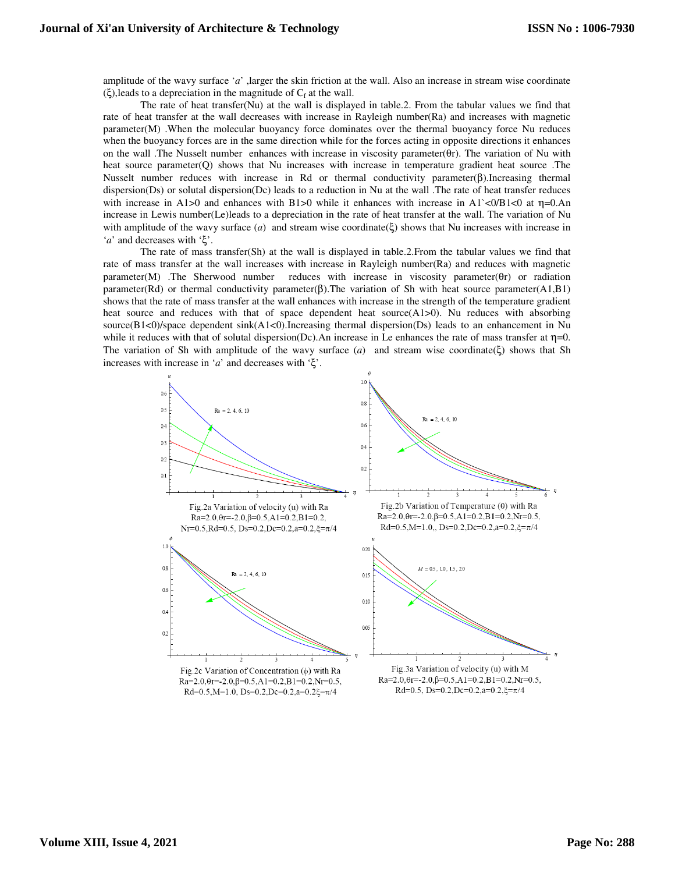amplitude of the wavy surface '*a*' ,larger the skin friction at the wall. Also an increase in stream wise coordinate (ξ), leads to a depreciation in the magnitude of  $C_f$  at the wall.

The rate of heat transfer(Nu) at the wall is displayed in table.2. From the tabular values we find that rate of heat transfer at the wall decreases with increase in Rayleigh number(Ra) and increases with magnetic parameter(M) .When the molecular buoyancy force dominates over the thermal buoyancy force Nu reduces when the buoyancy forces are in the same direction while for the forces acting in opposite directions it enhances on the wall .The Nusselt number enhances with increase in viscosity parameter( $\theta$ r). The variation of Nu with heat source parameter(Q) shows that Nu increases with increase in temperature gradient heat source. The Nusselt number reduces with increase in Rd or thermal conductivity parameter(β).Increasing thermal dispersion(Ds) or solutal dispersion(Dc) leads to a reduction in Nu at the wall .The rate of heat transfer reduces with increase in A1 $>0$  and enhances with B1 $>0$  while it enhances with increase in A1 $\lt 0/B1 \lt 0$  at  $\eta=0.An$ increase in Lewis number(Le)leads to a depreciation in the rate of heat transfer at the wall. The variation of Nu with amplitude of the wavy surface (*a*) and stream wise coordinate(ξ) shows that Nu increases with increase in '*a*' and decreases with 'ξ'.

The rate of mass transfer(Sh) at the wall is displayed in table.2.From the tabular values we find that rate of mass transfer at the wall increases with increase in Rayleigh number(Ra) and reduces with magnetic parameter(M) .The Sherwood number reduces with increase in viscosity parameter(θr) or radiation parameter(Rd) or thermal conductivity parameter(β).The variation of Sh with heat source parameter(A1,B1) shows that the rate of mass transfer at the wall enhances with increase in the strength of the temperature gradient heat source and reduces with that of space dependent heat source(A1>0). Nu reduces with absorbing source(B1<0)/space dependent sink(A1<0).Increasing thermal dispersion(Ds) leads to an enhancement in Nu while it reduces with that of solutal dispersion(Dc).An increase in Le enhances the rate of mass transfer at  $\eta=0$ . The variation of Sh with amplitude of the wavy surface  $(a)$  and stream wise coordinate( $\xi$ ) shows that Sh increases with increase in '*a*' and decreases with 'ξ'.

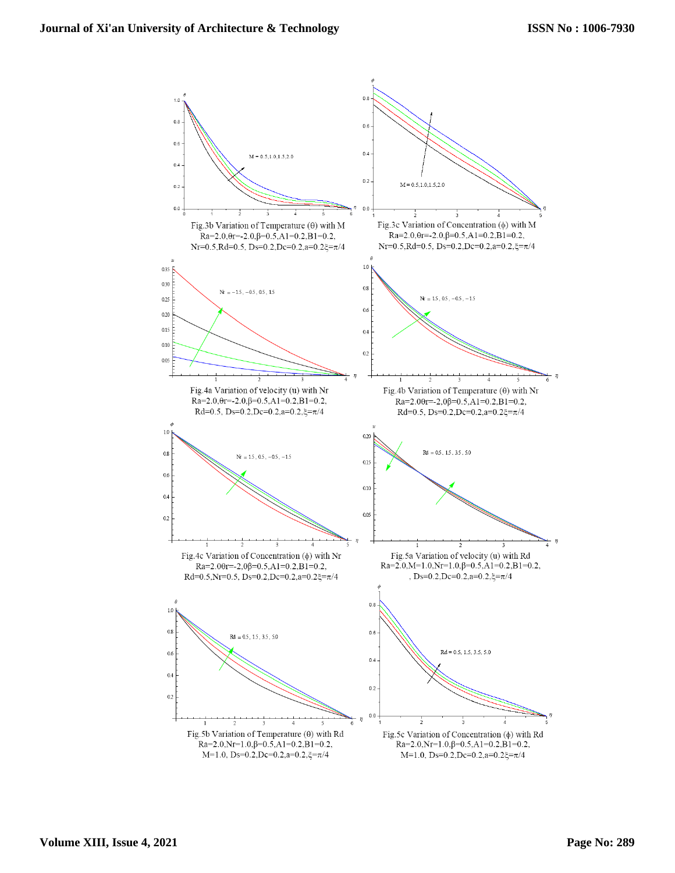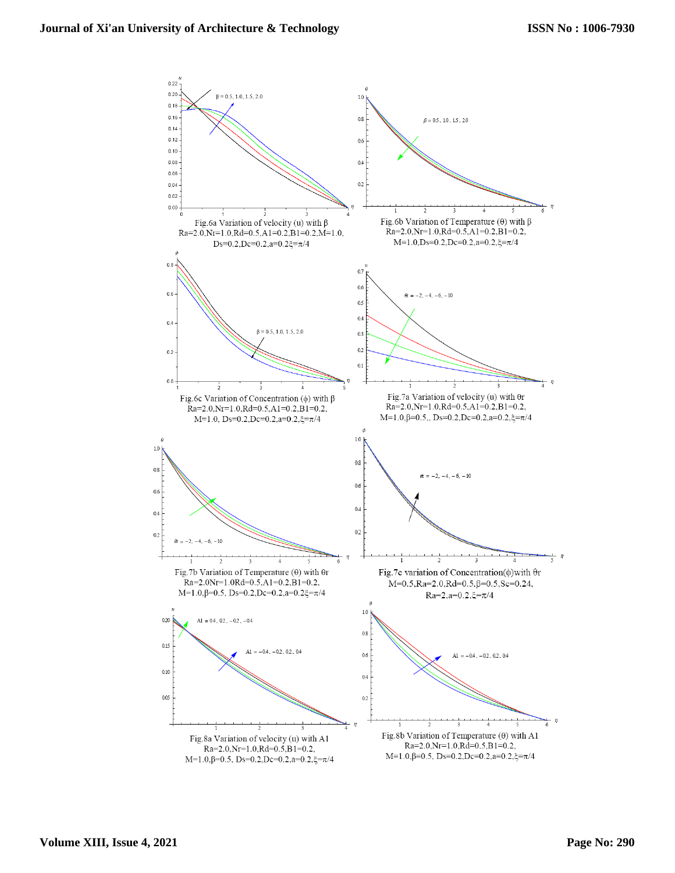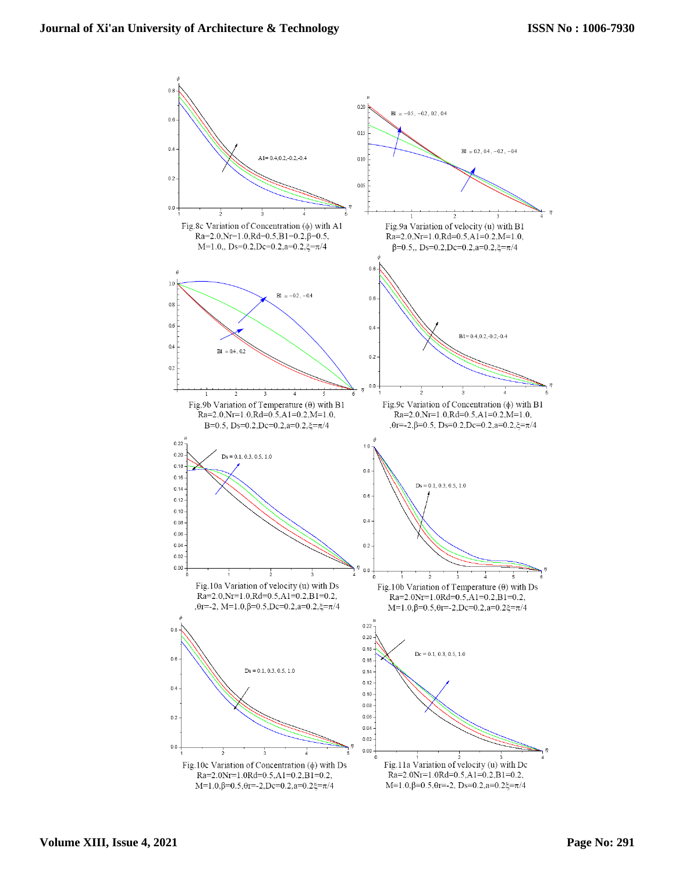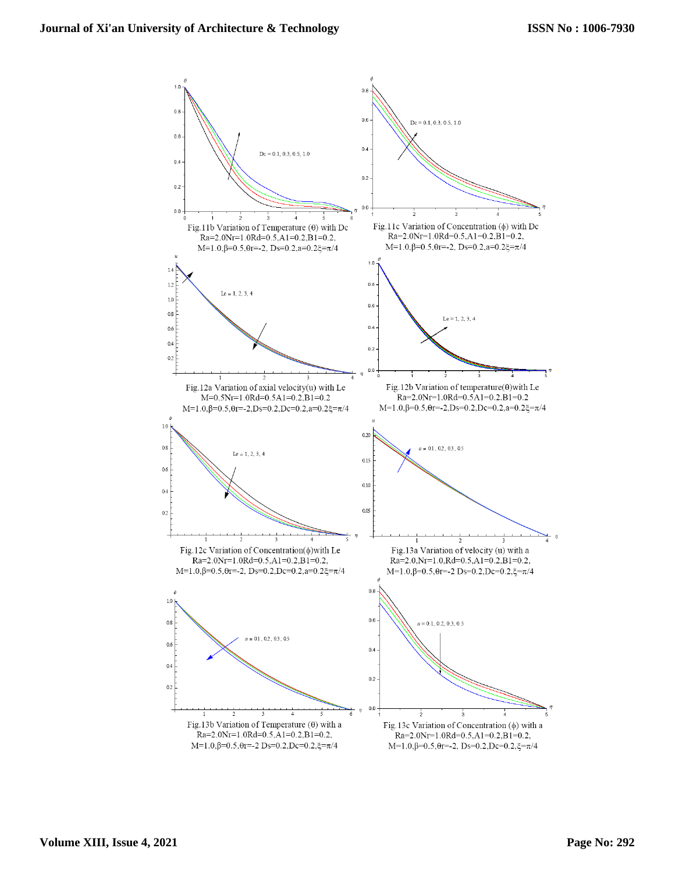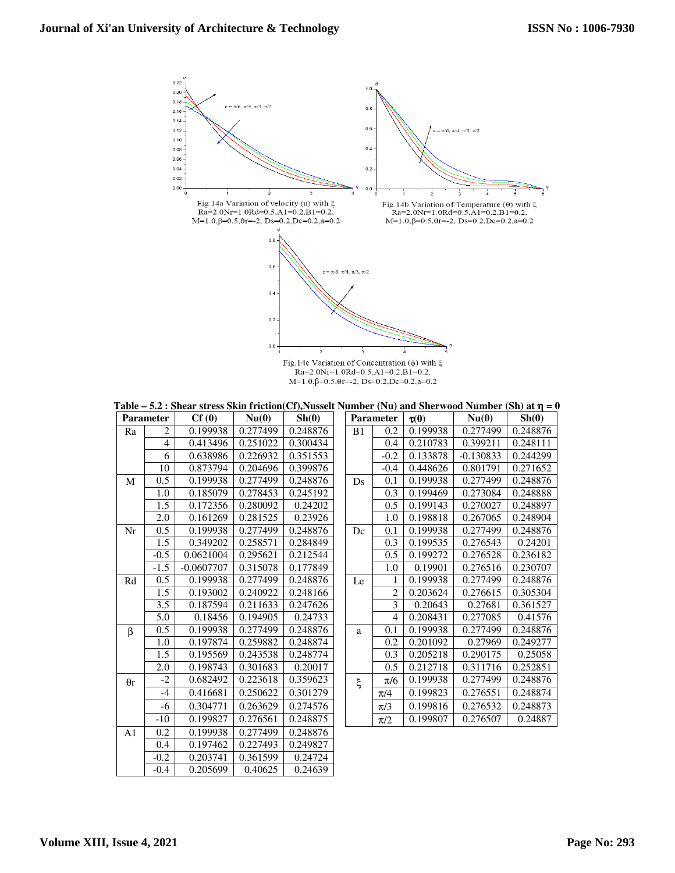

**Table – 5.2 : Shear stress Skin friction(Cf),Nusselt Number (Nu) and Sherwood Number (Sh) at** η **= 0** 

|                |                  | $\mu$ , once by $\mu$ and $\mu$ in $\sigma$ is the set in $\sigma$ in $\sigma$ in $\sigma$ in $\sigma$ in $\sigma$ in $\sigma$ is $\sigma$ is $\sigma$ |          |          |    |                |                       |             |          |
|----------------|------------------|--------------------------------------------------------------------------------------------------------------------------------------------------------|----------|----------|----|----------------|-----------------------|-------------|----------|
|                | <b>Parameter</b> | Cf(0)                                                                                                                                                  | Nu(0)    | Sh(0)    |    | Parameter      | $\tau(0)$             | Nu(0)       | Sh(0)    |
| Ra             | 2                | 0.199938                                                                                                                                               | 0.277499 | 0.248876 | B1 | 0.2            | 0.199938              | 0.277499    | 0.248876 |
|                | $\overline{4}$   | 0.413496                                                                                                                                               | 0.251022 | 0.300434 |    | 0.4            | 0.210783              | 0.399211    | 0.248111 |
|                | 6                | 0.638986                                                                                                                                               | 0.226932 | 0.351553 |    | $-0.2$         | 0.133878              | $-0.130833$ | 0.244299 |
|                | 10               | 0.873794                                                                                                                                               | 0.204696 | 0.399876 |    | $-0.4$         | 0.448626              | 0.801791    | 0.271652 |
| M              | 0.5              | 0.199938                                                                                                                                               | 0.277499 | 0.248876 | Ds | 0.1            | 0.199938              | 0.277499    | 0.248876 |
|                | 1.0              | 0.185079                                                                                                                                               | 0.278453 | 0.245192 |    | 0.3            | 0.199469              | 0.273084    | 0.248888 |
|                | $\overline{1.5}$ | 0.172356                                                                                                                                               | 0.280092 | 0.24202  |    | 0.5            | $\overline{0.199143}$ | 0.270027    | 0.248897 |
|                | 2.0              | 0.161269                                                                                                                                               | 0.281525 | 0.23926  |    | 1.0            | 0.198818              | 0.267065    | 0.248904 |
| Nr             | 0.5              | 0.199938                                                                                                                                               | 0.277499 | 0.248876 | Dc | 0.1            | 0.199938              | 0.277499    | 0.248876 |
|                | 1.5              | 0.349202                                                                                                                                               | 0.258571 | 0.284849 |    | 0.3            | 0.199535              | 0.276543    | 0.24201  |
|                | $-0.5$           | 0.0621004                                                                                                                                              | 0.295621 | 0.212544 |    | 0.5            | 0.199272              | 0.276528    | 0.236182 |
|                | $-1.5$           | $-0.0607707$                                                                                                                                           | 0.315078 | 0.177849 |    | 1.0            | 0.19901               | 0.276516    | 0.230707 |
| Rd             | 0.5              | 0.199938                                                                                                                                               | 0.277499 | 0.248876 | Le | $\mathbf{1}$   | 0.199938              | 0.277499    | 0.248876 |
|                | 1.5              | 0.193002                                                                                                                                               | 0.240922 | 0.248166 |    | $\overline{2}$ | 0.203624              | 0.276615    | 0.305304 |
|                | 3.5              | 0.187594                                                                                                                                               | 0.211633 | 0.247626 |    | 3              | 0.20643               | 0.27681     | 0.361527 |
|                | 5.0              | 0.18456                                                                                                                                                | 0.194905 | 0.24733  |    | $\overline{4}$ | 0.208431              | 0.277085    | 0.41576  |
| $\beta$        | 0.5              | 0.199938                                                                                                                                               | 0.277499 | 0.248876 | a  | 0.1            | 0.199938              | 0.277499    | 0.248876 |
|                | 1.0              | 0.197874                                                                                                                                               | 0.259882 | 0.248874 |    | 0.2            | 0.201092              | 0.27969     | 0.249277 |
|                | $\overline{1.5}$ | 0.195569                                                                                                                                               | 0.243538 | 0.248774 |    | 0.3            | 0.205218              | 0.290175    | 0.25058  |
|                | 2.0              | 0.198743                                                                                                                                               | 0.301683 | 0.20017  |    | 0.5            | 0.212718              | 0.311716    | 0.252851 |
| $\theta$ r     | $-2$             | 0.682492                                                                                                                                               | 0.223618 | 0.359623 | ξ  | $\pi/6$        | 0.199938              | 0.277499    | 0.248876 |
|                | $-4$             | 0.416681                                                                                                                                               | 0.250622 | 0.301279 |    | $\pi/4$        | 0.199823              | 0.276551    | 0.248874 |
|                | -6               | 0.304771                                                                                                                                               | 0.263629 | 0.274576 |    | $\pi/3$        | 0.199816              | 0.276532    | 0.248873 |
|                | $-10$            | 0.199827                                                                                                                                               | 0.276561 | 0.248875 |    | $\pi/2$        | 0.199807              | 0.276507    | 0.24887  |
| A <sub>1</sub> | 0.2              | 0.199938                                                                                                                                               | 0.277499 | 0.248876 |    |                |                       |             |          |
|                | 0.4              | 0.197462                                                                                                                                               | 0.227493 | 0.249827 |    |                |                       |             |          |
|                | $-0.2$           | 0.203741                                                                                                                                               | 0.361599 | 0.24724  |    |                |                       |             |          |
|                | $-0.4$           | 0.205699                                                                                                                                               | 0.40625  | 0.24639  |    |                |                       |             |          |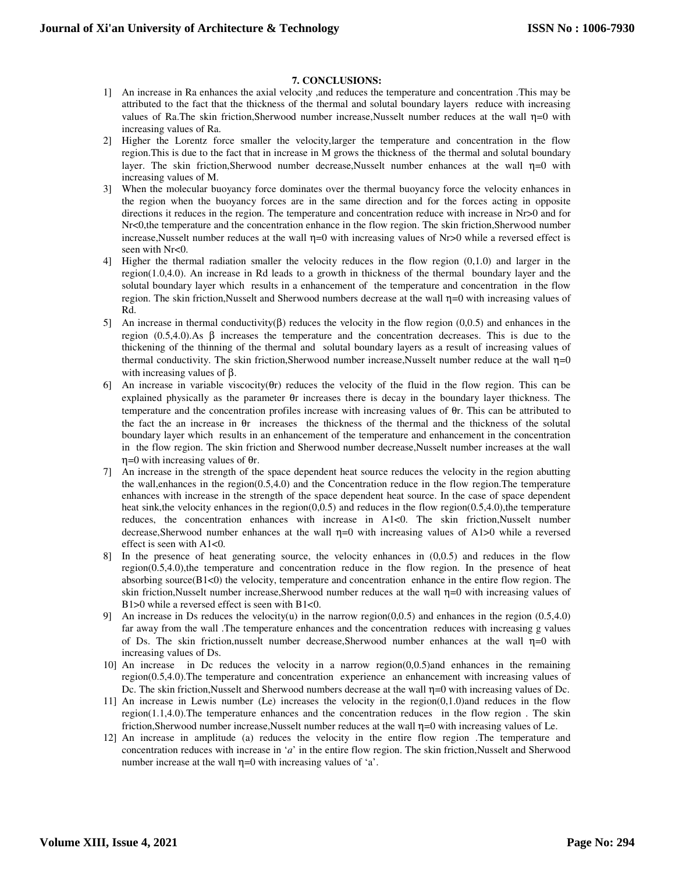# **7. CONCLUSIONS:**

- 1] An increase in Ra enhances the axial velocity ,and reduces the temperature and concentration .This may be attributed to the fact that the thickness of the thermal and solutal boundary layers reduce with increasing values of Ra.The skin friction,Sherwood number increase,Nusselt number reduces at the wall  $\eta=0$  with increasing values of Ra.
- 2] Higher the Lorentz force smaller the velocity,larger the temperature and concentration in the flow region.This is due to the fact that in increase in M grows the thickness of the thermal and solutal boundary layer. The skin friction, Sherwood number decrease, Nusselt number enhances at the wall  $\eta=0$  with increasing values of M.
- 3] When the molecular buoyancy force dominates over the thermal buoyancy force the velocity enhances in the region when the buoyancy forces are in the same direction and for the forces acting in opposite directions it reduces in the region. The temperature and concentration reduce with increase in Nr>0 and for Nr<0,the temperature and the concentration enhance in the flow region. The skin friction,Sherwood number increase, Nusselt number reduces at the wall  $\eta=0$  with increasing values of Nr>0 while a reversed effect is seen with Nr<0.
- 4] Higher the thermal radiation smaller the velocity reduces in the flow region (0,1.0) and larger in the region(1.0,4.0). An increase in Rd leads to a growth in thickness of the thermal boundary layer and the solutal boundary layer which results in a enhancement of the temperature and concentration in the flow region. The skin friction,Nusselt and Sherwood numbers decrease at the wall η=0 with increasing values of Rd.
- 5] An increase in thermal conductivity(β) reduces the velocity in the flow region (0,0.5) and enhances in the region  $(0.5,4.0)$ .As β increases the temperature and the concentration decreases. This is due to the thickening of the thinning of the thermal and solutal boundary layers as a result of increasing values of thermal conductivity. The skin friction,Sherwood number increase,Nusselt number reduce at the wall  $\eta=0$ with increasing values of β.
- 6] An increase in variable viscocity(θr) reduces the velocity of the fluid in the flow region. This can be explained physically as the parameter θr increases there is decay in the boundary layer thickness. The temperature and the concentration profiles increase with increasing values of θr. This can be attributed to the fact the an increase in θr increases the thickness of the thermal and the thickness of the solutal boundary layer which results in an enhancement of the temperature and enhancement in the concentration in the flow region. The skin friction and Sherwood number decrease,Nusselt number increases at the wall η=0 with increasing values of θr.
- 7] An increase in the strength of the space dependent heat source reduces the velocity in the region abutting the wall,enhances in the region(0.5,4.0) and the Concentration reduce in the flow region.The temperature enhances with increase in the strength of the space dependent heat source. In the case of space dependent heat sink, the velocity enhances in the region(0,0.5) and reduces in the flow region(0.5,4.0), the temperature reduces, the concentration enhances with increase in A1<0. The skin friction,Nusselt number decrease, Sherwood number enhances at the wall  $\eta=0$  with increasing values of A1 $>0$  while a reversed effect is seen with A1<0.
- 8] In the presence of heat generating source, the velocity enhances in (0,0.5) and reduces in the flow region(0.5,4.0),the temperature and concentration reduce in the flow region. In the presence of heat absorbing source $(B1<0)$  the velocity, temperature and concentration enhance in the entire flow region. The skin friction,Nusselt number increase,Sherwood number reduces at the wall η=0 with increasing values of B1>0 while a reversed effect is seen with B1<0.
- 9] An increase in Ds reduces the velocity(u) in the narrow region(0,0.5) and enhances in the region (0.5,4.0) far away from the wall .The temperature enhances and the concentration reduces with increasing g values of Ds. The skin friction,nusselt number decrease,Sherwood number enhances at the wall  $\eta=0$  with increasing values of Ds.
- 10] An increase in Dc reduces the velocity in a narrow region(0,0.5)and enhances in the remaining region(0.5,4.0).The temperature and concentration experience an enhancement with increasing values of Dc. The skin friction, Nusselt and Sherwood numbers decrease at the wall  $\eta=0$  with increasing values of Dc.
- 11] An increase in Lewis number (Le) increases the velocity in the region(0,1.0)and reduces in the flow region(1.1,4.0).The temperature enhances and the concentration reduces in the flow region . The skin friction,Sherwood number increase,Nusselt number reduces at the wall η=0 with increasing values of Le.
- 12] An increase in amplitude (a) reduces the velocity in the entire flow region .The temperature and concentration reduces with increase in '*a*' in the entire flow region. The skin friction,Nusselt and Sherwood number increase at the wall  $\eta$ =0 with increasing values of 'a'.